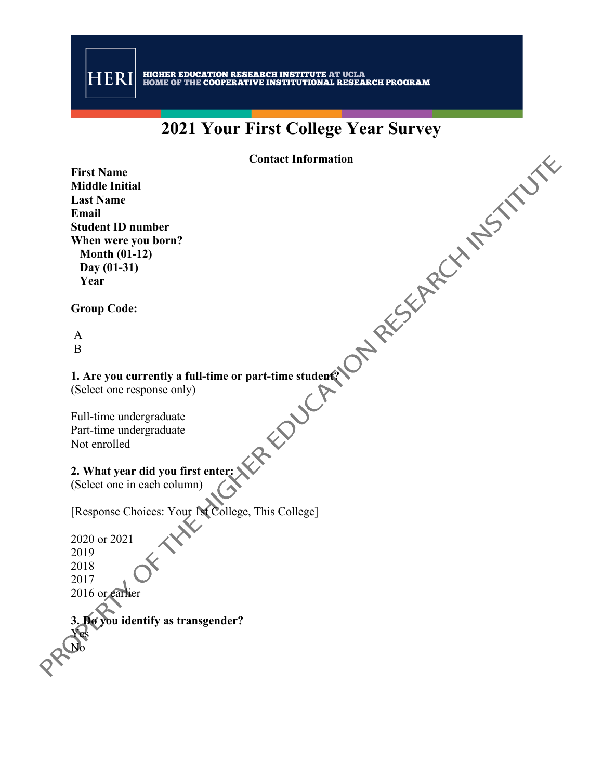# **2021 Your First College Year Survey**

**Contact Information**

**First Name Middle Initial Last Name Email Student ID number When were you born? Month (01-12) Day (01-31) Year**

**Group Code:**

A B

#### **1. Are you currently a full-time or part-time student?**

(Select one response only)

Full-time undergraduate Part-time undergraduate Not enrolled

#### **2. What year did you first enter:**

(Select <u>one</u> in each column)

[Response Choices: Your 1st College, This College]

2020 or 2021 2019 2018 2017 2016 or earlier

No

**3. Do you identify as transgender?** Yes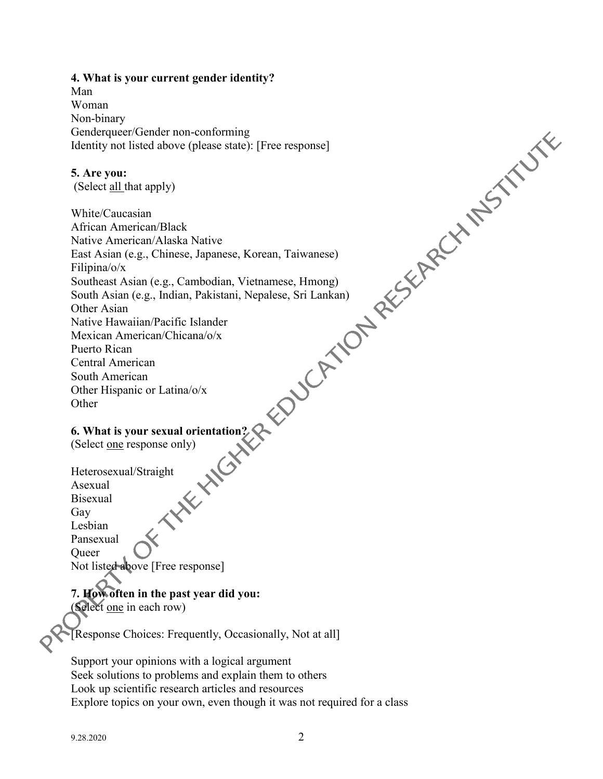#### **4. What is your current gender identity?**

Man Woman Non-binary Genderqueer/Gender non-conforming Identity not listed above (please state): [Free response]

#### **5. Are you:**

(Select all that apply)

White/Caucasian African American/Black Native American/Alaska Native East Asian (e.g., Chinese, Japanese, Korean, Taiwanese) Filipina/o/x Southeast Asian (e.g., Cambodian, Vietnamese, Hmong) South Asian (e.g., Indian, Pakistani, Nepalese, Sri Lankan) Other Asian Native Hawaiian/Pacific Islander Mexican American/Chicana/o/x Puerto Rican Central American South American Other Hispanic or Latina/o/x Other

#### **6. What is your sexual orientation?**

(Select one response only)

Heterosexual/Straight Asexual Bisexual Gay Lesbian Pansexual Queer Not listed above [Free response]

#### **7. How often in the past year did you:**  (Select one in each row)

[Response Choices: Frequently, Occasionally, Not at all]

Support your opinions with a logical argument Seek solutions to problems and explain them to others Look up scientific research articles and resources Explore topics on your own, even though it was not required for a class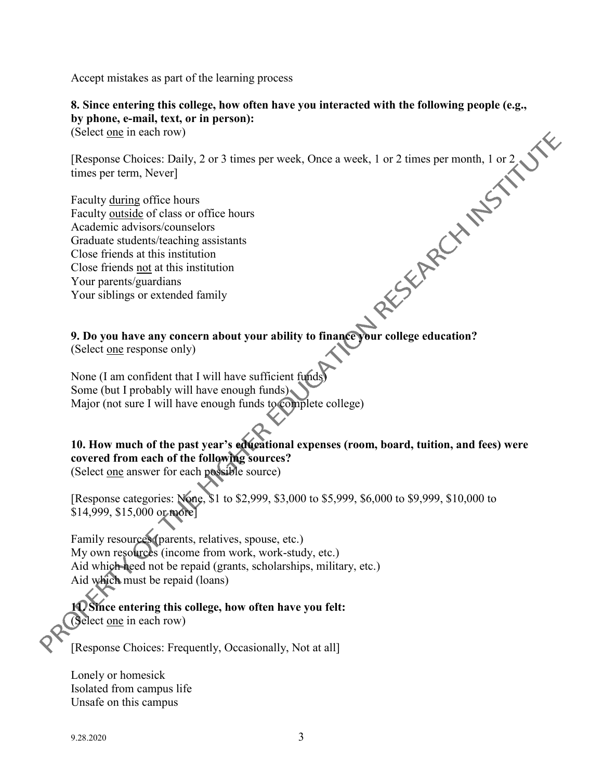Accept mistakes as part of the learning process

**8. Since entering this college, how often have you interacted with the following people (e.g., by phone, e-mail, text, or in person):** 

(Select one in each row)

[Response Choices: Daily, 2 or 3 times per week, Once a week, 1 or 2 times per month, 1 or 2 times per term, Never]

Faculty <u>during</u> office hours Faculty <u>outside</u> of class or office hours Academic advisors/counselors Graduate students/teaching assistants Close friends at this institution Close friends not at this institution Your parents/guardians Your siblings or extended family

**9. Do you have any concern about your ability to finance your college education?** 

(Select <u>one</u> response only)

None (I am confident that I will have sufficient funds) Some (but I probably will have enough funds) Major (not sure I will have enough funds to complete college)

# **10. How much of the past year's educational expenses (room, board, tuition, and fees) were covered from each of the following sources?**

(Select one answer for each possible source)

[Response categories: None, \$1 to \$2,999, \$3,000 to \$5,999, \$6,000 to \$9,999, \$10,000 to \$14,999, \$15,000 or more]

Family resources (parents, relatives, spouse, etc.) My own resources (income from work, work-study, etc.) Aid which need not be repaid (grants, scholarships, military, etc.) Aid which must be repaid (loans)

# **11. Since entering this college, how often have you felt:**  (Select one in each row)

[Response Choices: Frequently, Occasionally, Not at all]

Lonely or homesick Isolated from campus life Unsafe on this campus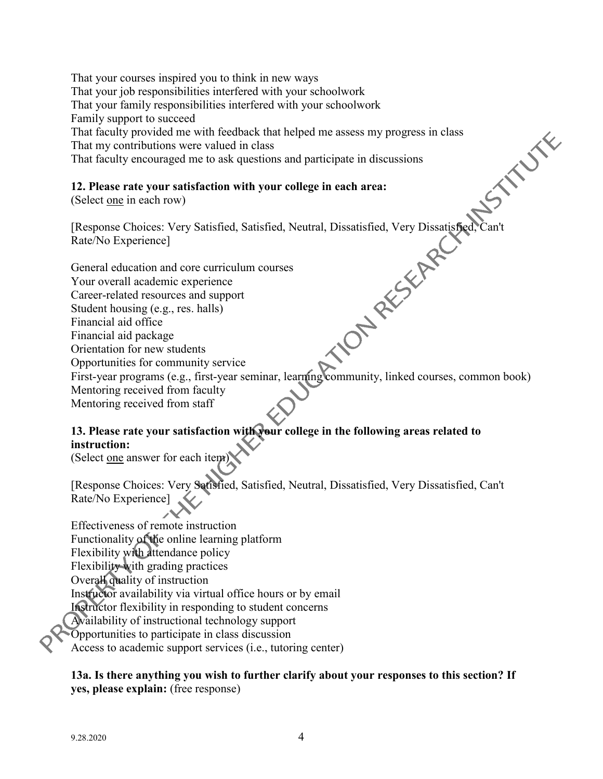That your courses inspired you to think in new ways That your job responsibilities interfered with your schoolwork That your family responsibilities interfered with your schoolwork Family support to succeed **STANTE** That faculty provided me with feedback that helped me assess my progress in class That my contributions were valued in class That faculty encouraged me to ask questions and participate in discussions

#### **12. Please rate your satisfaction with your college in each area:**

(Select one in each row)

Rate/No Experience]

[Response Choices: Very Satisfied, Satisfied, Neutral, Dissatisfied, Very Dissatisfied,<br>
Rate/No Experience]<br>
General education and core curriculum courses<br>
Your overall academic experience<br>
Career-related resources and su General education and core curriculum courses Your overall academic experience Career-related resources and support Student housing (e.g., res. halls) Financial aid office Financial aid package Orientation for new students Opportunities for community service First-year programs (e.g., first-year seminar, learning community, linked courses, common book) Mentoring received from faculty Mentoring received from staff

# **13. Please rate your satisfaction with your college in the following areas related to instruction:**

(Select one answer for each item)

[Response Choices: Very Satisfied, Satisfied, Neutral, Dissatisfied, Very Dissatisfied, Can't Rate/No Experience]

Effectiveness of remote instruction Functionality of the online learning platform Flexibility with attendance policy Flexibility with grading practices Overall quality of instruction Instructor availability via virtual office hours or by email Instructor flexibility in responding to student concerns Availability of instructional technology support Opportunities to participate in class discussion Access to academic support services (i.e., tutoring center)

**13a. Is there anything you wish to further clarify about your responses to this section? If yes, please explain:** (free response)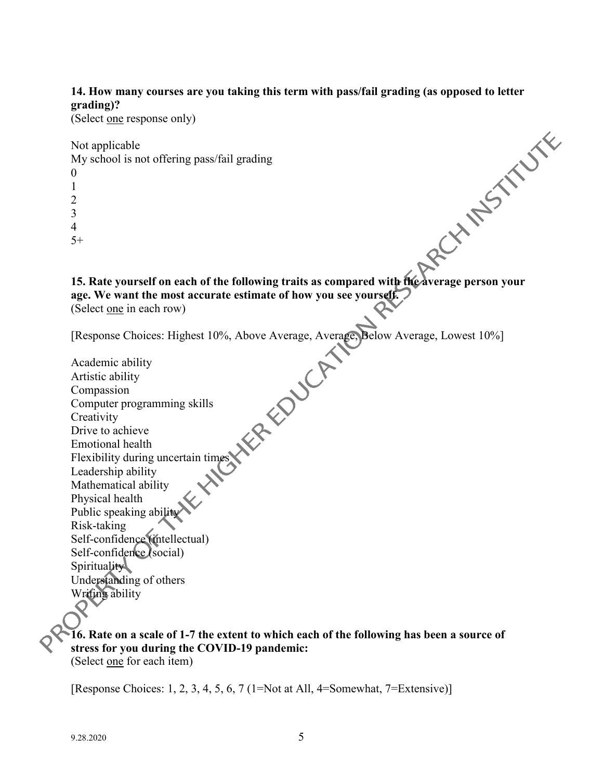#### **14. How many courses are you taking this term with pass/fail grading (as opposed to letter grading)?**

(Select one response only)

Not applicable

My school is not offering pass/fail grading 0

| ۱             |  |
|---------------|--|
| $\mathcal{L}$ |  |
| 3             |  |
| 4             |  |

 $5+$ 

<sup>15+</sup><br>15. Rate vourself on each of the following traits as compared with the average person your **age. We want the most accurate estimate of how you see yourself.**  (Select one in each row)

[Response Choices: Highest 10%, Above Average, Average, Below Average, Lowest 10%]

Academic ability Artistic ability Compassion Computer programming skills **Creativity** Drive to achieve Emotional health Flexibility during uncertain times Leadership ability Mathematical ability Physical health Public speaking ability Risk-taking Self-confidence (intellectual) Self-confidence (social) Spirituality Understanding of others Writing ability

**16. Rate on a scale of 1-7 the extent to which each of the following has been a source of stress for you during the COVID-19 pandemic:** (Select one for each item)

[Response Choices: 1, 2, 3, 4, 5, 6, 7 (1=Not at All, 4=Somewhat, 7=Extensive)]

 $\mathbf Q$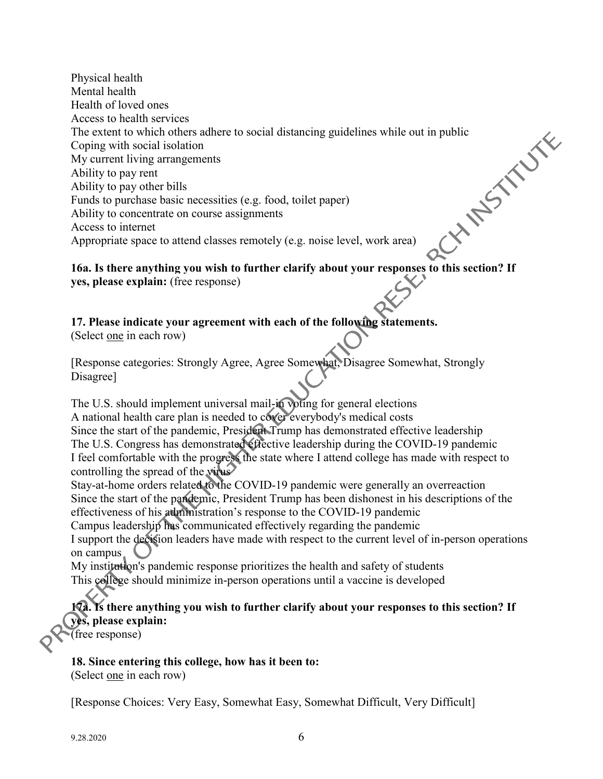Physical health Mental health Health of loved ones Access to health services The extent to which others adhere to social distancing guidelines while out in public<br>Coping with social isolation<br>My current living arrangements<br>Ability to pay rent<br>Ability to pay other bills<br>Funds to purchase basic neces Coping with social isolation My current living arrangements Ability to pay rent Ability to pay other bills Funds to purchase basic necessities (e.g. food, toilet paper) Ability to concentrate on course assignments Access to internet Appropriate space to attend classes remotely (e.g. noise level, work area)

#### **16a. Is there anything you wish to further clarify about your responses to this section? If yes, please explain:** (free response)

**17. Please indicate your agreement with each of the following statements.** 

(Select one in each row)

[Response categories: Strongly Agree, Agree Somewhat, Disagree Somewhat, Strongly Disagree]

The U.S. should implement universal mail-in voting for general elections A national health care plan is needed to cover everybody's medical costs Since the start of the pandemic, President Trump has demonstrated effective leadership The U.S. Congress has demonstrated effective leadership during the COVID-19 pandemic I feel comfortable with the progress the state where I attend college has made with respect to controlling the spread of the virus

Stay-at-home orders related to the COVID-19 pandemic were generally an overreaction Since the start of the pandemic, President Trump has been dishonest in his descriptions of the effectiveness of his administration's response to the COVID-19 pandemic

Campus leadership has communicated effectively regarding the pandemic

I support the decision leaders have made with respect to the current level of in-person operations on campus

My institution's pandemic response prioritizes the health and safety of students This college should minimize in-person operations until a vaccine is developed

**17a. Is there anything you wish to further clarify about your responses to this section? If yes, please explain:**

 $\bar{f}$  (free response)

**18. Since entering this college, how has it been to:**  (Select one in each row)

[Response Choices: Very Easy, Somewhat Easy, Somewhat Difficult, Very Difficult]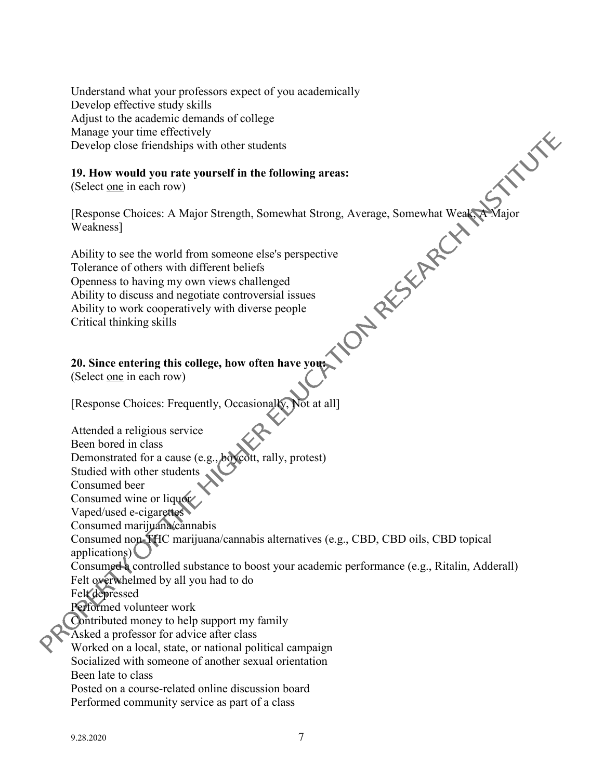Understand what your professors expect of you academically Develop effective study skills Adjust to the academic demands of college Manage your time effectively Develop close friendships with other students

#### **19. How would you rate yourself in the following areas:**

(Select one in each row)

Weakness]

**XILLY RE** 

[Response Choices: A Major Strength, Somewhat Strong, Average, Somewhat Weak, A Major Weakness]<br>
Ability to see the world from someone else's perspective<br>
Tolerance of others with different beliefs<br>
Openness to having my o Ability to see the world from someone else's perspective Tolerance of others with different beliefs Openness to having my own views challenged Ability to discuss and negotiate controversial issues Ability to work cooperatively with diverse people Critical thinking skills

### **20. Since entering this college, how often have you:**

(Select one in each row)

[Response Choices: Frequently, Occasionally, Not at all]

Attended a religious service Been bored in class

Demonstrated for a cause (e.g., boycott, rally, protest)

Studied with other students

Consumed beer

Consumed wine or liquor

Vaped/used e-cigarettes

Consumed marijuana/cannabis

Consumed non-THC marijuana/cannabis alternatives (e.g., CBD, CBD oils, CBD topical applications)

Consumed a controlled substance to boost your academic performance (e.g., Ritalin, Adderall) Felt overwhelmed by all you had to do

Felt depressed

Performed volunteer work

Contributed money to help support my family

Asked a professor for advice after class

Worked on a local, state, or national political campaign

Socialized with someone of another sexual orientation

Been late to class

Posted on a course-related online discussion board Performed community service as part of a class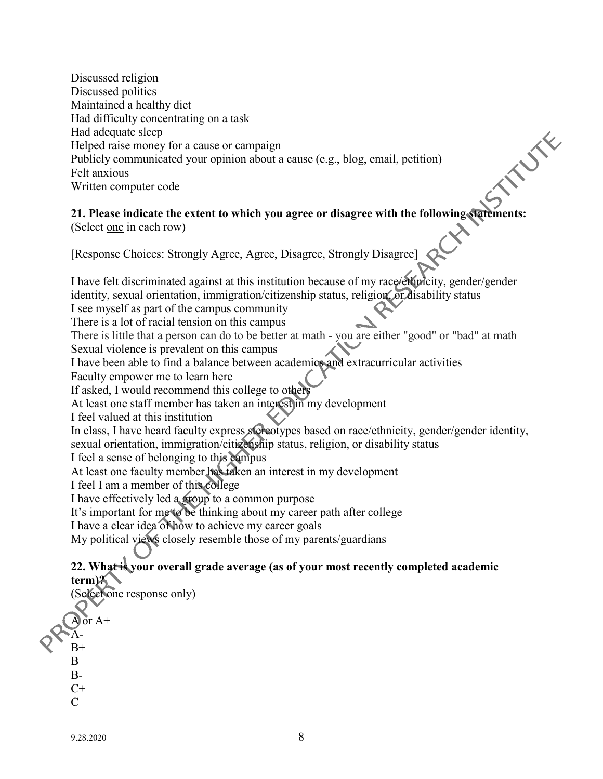Discussed religion Discussed politics Maintained a healthy diet Had difficulty concentrating on a task Had adequate sleep Helped raise money for a cause or campaign Publicly communicated your opinion about a cause (e.g., blog, email, petition) Felt anxious Written computer code

#### **21. Please indicate the extent to which you agree or disagree with the following statements:**  (Select one in each row)

**INTERNATIONAL** 

[Response Choices: Strongly Agree, Agree, Disagree, Strongly Disagree]

I have felt discriminated against at this institution because of my race/ethnicity, gender/gender identity, sexual orientation, immigration/citizenship status, religion, or disability status

I see myself as part of the campus community

There is a lot of racial tension on this campus

There is little that a person can do to be better at math - you are either "good" or "bad" at math Sexual violence is prevalent on this campus

I have been able to find a balance between academics and extracurricular activities

Faculty empower me to learn here

If asked, I would recommend this college to others

At least one staff member has taken an interest in my development

I feel valued at this institution

In class, I have heard faculty express stereotypes based on race/ethnicity, gender/gender identity, sexual orientation, immigration/citizenship status, religion, or disability status

I feel a sense of belonging to this campus

At least one faculty member has taken an interest in my development

I feel I am a member of this college

I have effectively led a group to a common purpose

It's important for me to be thinking about my career path after college

I have a clear idea of how to achieve my career goals

My political views closely resemble those of my parents/guardians

### **22. What is your overall grade average (as of your most recently completed academic term)?**

(Select <u>one</u> response only)  $\int$  or A+ A- $B+$ B  $B C+$  $\mathcal{C}$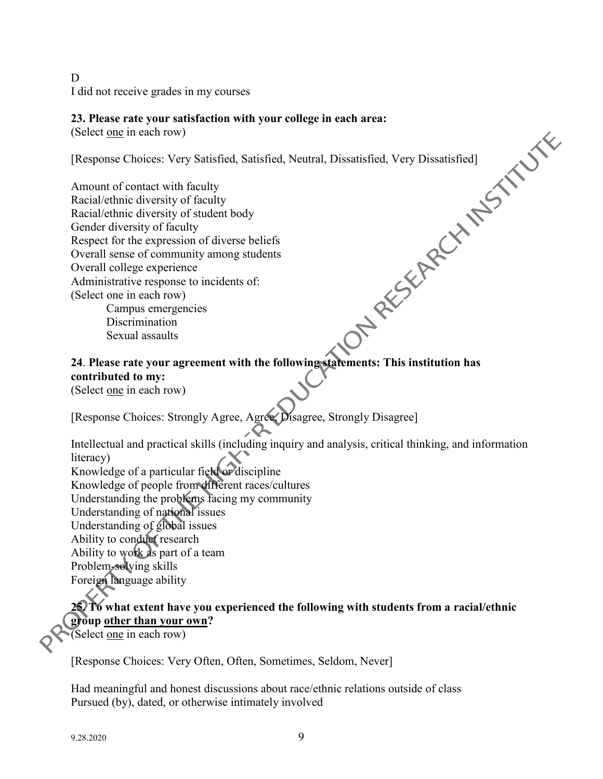D I did not receive grades in my courses

(Select one in each row)

[Response Choices: Very Satisfied, Satisfied, Neutral, Dissatisfied, Very Dissatisfied]

**23. Please rate your satisfaction with your college in each area:**<br>
(Select <u>one</u> in each row)<br>
[Response Choices: Very Satisfied, Satisfied, Neutral, Dissatisfied, Very Dissatisfied]<br>
Amount of contact with faculty<br>
Reca Amount of contact with faculty Racial/ethnic diversity of faculty Racial/ethnic diversity of student body Gender diversity of faculty Respect for the expression of diverse beliefs Overall sense of community among students Overall college experience Administrative response to incidents of: (Select one in each row) Campus emergencies Discrimination

Sexual assaults

# **24**. **Please rate your agreement with the following statements: This institution has contributed to my:**

(Select one in each row)

[Response Choices: Strongly Agree, Agree, Disagree, Strongly Disagree]

Intellectual and practical skills (including inquiry and analysis, critical thinking, and information literacy)

Knowledge of a particular field or discipline Knowledge of people from different races/cultures Understanding the problems facing my community Understanding of national issues Understanding of global issues Ability to conduct research Ability to work as part of a team Problem-solving skills Foreign language ability

# **25. To what extent have you experienced the following with students from a racial/ethnic group other than your own?**

(Select one in each row)

[Response Choices: Very Often, Often, Sometimes, Seldom, Never]

Had meaningful and honest discussions about race/ethnic relations outside of class Pursued (by), dated, or otherwise intimately involved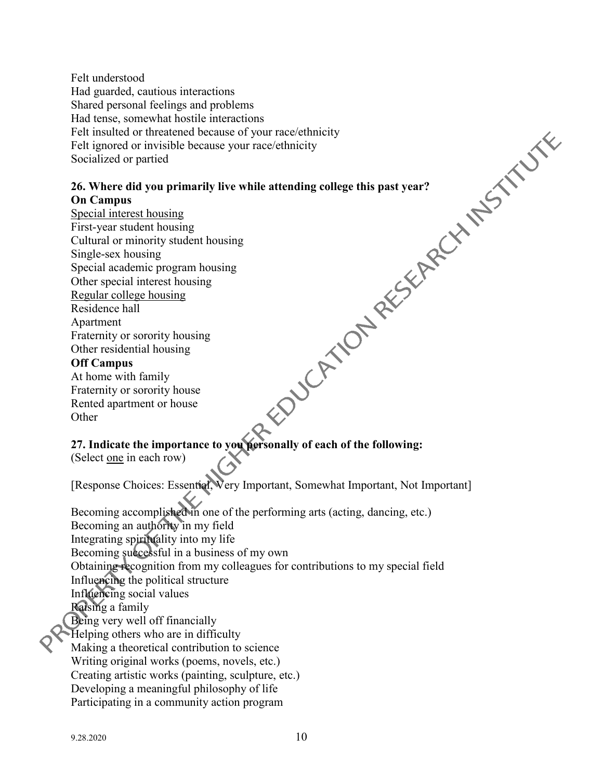Felt understood Had guarded, cautious interactions Shared personal feelings and problems Felt insulted or threatened because of your race/ethnicity Felt ignored or invisible because your race/ethnicity Socialized or partied

#### **26. Where did you primarily live while attending college this past year? On Campus**

Had tense, somewhat hostile interactions<br>
Felt insulted or threatened because of your race/ethnicity<br>
Felt ignored or invisible because your race/ethnicity<br>
Felt ignored or partied<br>
Socialized or partied<br>
On Campus<br>
Specia Special interest housing First-year student housing Cultural or minority student housing Single-sex housing Special academic program housing Other special interest housing Regular college housing Residence hall Apartment Fraternity or sorority housing Other residential housing **Off Campus**

At home with family Fraternity or sorority house Rented apartment or house **Other** 

# **27. Indicate the importance to you personally of each of the following:**

(Select one in each row)

[Response Choices: Essential, Very Important, Somewhat Important, Not Important]

Becoming accomplished in one of the performing arts (acting, dancing, etc.) Becoming an authority in my field Integrating spirituality into my life Becoming successful in a business of my own Obtaining recognition from my colleagues for contributions to my special field Influencing the political structure Influencing social values Raising a family Being very well off financially Helping others who are in difficulty Making a theoretical contribution to science Writing original works (poems, novels, etc.) Creating artistic works (painting, sculpture, etc.) Developing a meaningful philosophy of life Participating in a community action program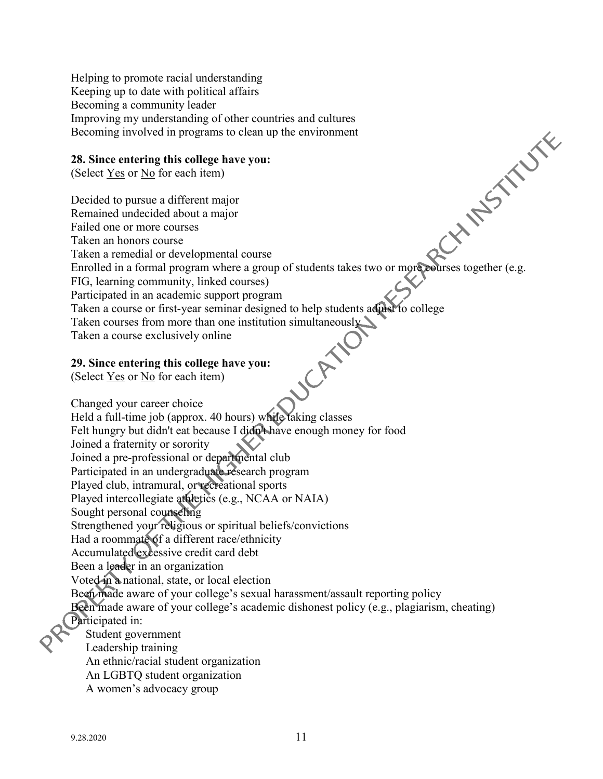Helping to promote racial understanding Keeping up to date with political affairs Becoming a community leader Improving my understanding of other countries and cultures Becoming involved in programs to clean up the environment

#### **28. Since entering this college have you:**

(Select Yes or No for each item)

Enrolled in a formal program where a group of students takes two or more courses together (e.g. Decided to pursue a different major Remained undecided about a major Failed one or more courses Taken an honors course Taken a remedial or developmental course FIG, learning community, linked courses) Participated in an academic support program Taken a course or first-year seminar designed to help students adjust to college Taken courses from more than one institution simultaneously Taken a course exclusively online **SCANN 29. Since entering this college have you:**  (Select Yes or No for each item) Changed your career choice Held a full-time job (approx. 40 hours) while taking classes Felt hungry but didn't eat because I didn't have enough money for food Joined a fraternity or sorority Joined a pre-professional or departmental club Participated in an undergraduate research program Played club, intramural, or recreational sports Played intercollegiate athletics (e.g., NCAA or NAIA) Sought personal counseling Strengthened your religious or spiritual beliefs/convictions Had a roommate of a different race/ethnicity Accumulated excessive credit card debt Been a leader in an organization Voted in a national, state, or local election Been made aware of your college's sexual harassment/assault reporting policy Been made aware of your college's academic dishonest policy (e.g., plagiarism, cheating) Participated in: Student government Leadership training An ethnic/racial student organization An LGBTQ student organization

A women's advocacy group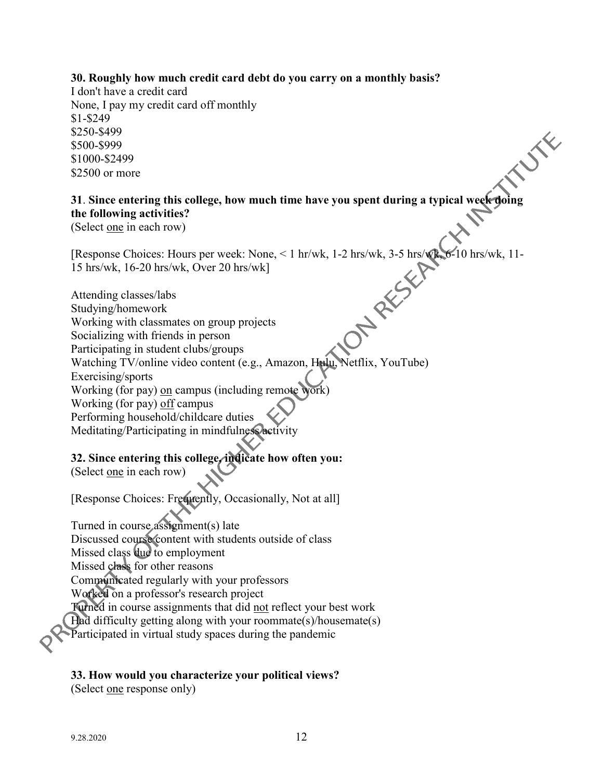#### **30. Roughly how much credit card debt do you carry on a monthly basis?**

I don't have a credit card None, I pay my credit card off monthly \$1-\$249 \$250-\$499 \$500-\$999 \$1000-\$2499 \$2500 or more

# **31**. **Since entering this college, how much time have you spent during a typical week doing the following activities?**

JE

(Select one in each row)

15 hrs/wk, 16-20 hrs/wk, Over 20 hrs/wk]

[Response Choices: Hours per week: None, < 1 hr/wk, 1-2 hrs/wk, 3-5 hrs/wk, 6-10 hrs/wk, 11-<br>15 hrs/wk, 16-20 hrs/wk, Over 20 hrs/wk]<br>Attending classes/labs<br>Studying/homework<br>Working Attending classes/labs Studying/homework Working with classmates on group projects Socializing with friends in person Participating in student clubs/groups Watching TV/online video content (e.g., Amazon, Hulu, Netflix, YouTube) Exercising/sports Working (for pay) on campus (including remote work) Working (for pay) off campus Performing household/childcare duties Meditating/Participating in mindfulness activity

# **32. Since entering this college, indicate how often you:**

(Select one in each row)

[Response Choices: Frequently, Occasionally, Not at all]

Turned in course assignment(s) late Discussed course content with students outside of class Missed class due to employment Missed class for other reasons Communicated regularly with your professors Worked on a professor's research project Turned in course assignments that did not reflect your best work Had difficulty getting along with your roommate(s)/housemate(s) Participated in virtual study spaces during the pandemic

#### **33. How would you characterize your political views?**

(Select one response only)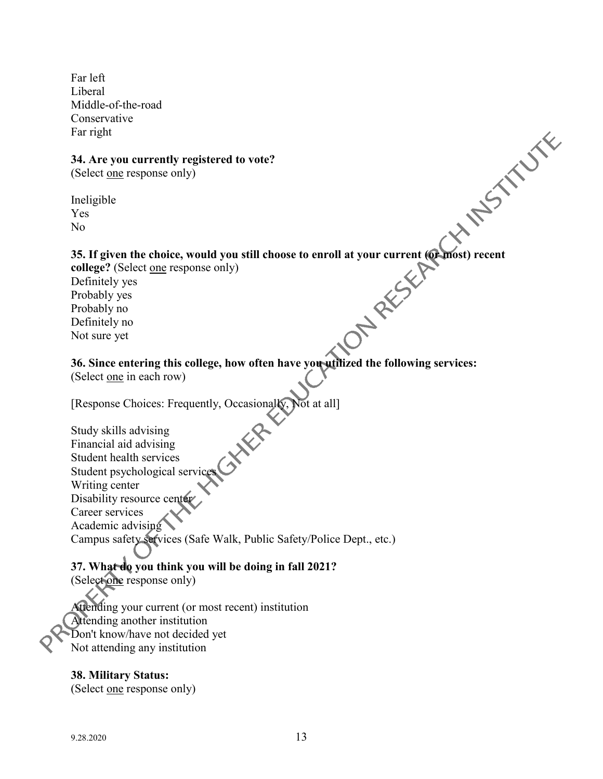Far left Liberal Middle-of-the-road Conservative Far right

#### **34. Are you currently registered to vote?**

(Select one response only)

Ineligible Yes No

#### **35. If given the choice, would you still choose to enroll at your current (or most) recent**

college? (Select one response only) Definitely yes Probably yes Probably no Definitely no Not sure yet

# **36. Since entering this college, how often have you utilized the following services:**

(Select one in each row)

[Response Choices: Frequently, Occasionally, Not at all]

 $\mathbf{x}^2$ Study skills advising Financial aid advising Student health services Student psychological service Writing center Disability resource center Career services Academic advising Campus safety services (Safe Walk, Public Safety/Police Dept., etc.)

# **37. What do you think you will be doing in fall 2021?**

(Select one response only)

Attending your current (or most recent) institution Attending another institution Don't know/have not decided yet Not attending any institution

# **38. Military Status:**

(Select <u>one</u> response only)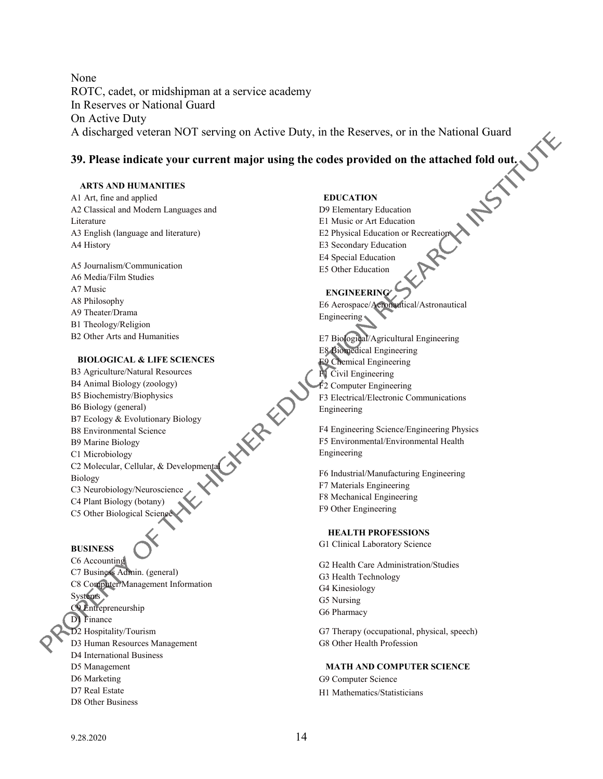None ROTC, cadet, or midshipman at a service academy In Reserves or National Guard On Active Duty A discharged veteran NOT serving on Active Duty, in the Reserves, or in the National Guard

#### **39. Please indicate your current major using the codes provided on the attached fold out.**

#### **ARTS AND HUMANITIES**

A1 Art, fine and applied A2 Classical and Modern Languages and Literature A3 English (language and literature) A4 History

A5 Journalism/Communication A6 Media/Film Studies A7 Music A8 Philosophy A9 Theater/Drama B1 Theology/Religion B2 Other Arts and Humanities

#### **BIOLOGICAL & LIFE SCIENCES**

B3 Agriculture/Natural Resources B4 Animal Biology (zoology) B5 Biochemistry/Biophysics B6 Biology (general) B7 Ecology & Evolutionary Biology B8 Environmental Science B9 Marine Biology C1 Microbiology C2 Molecular, Cellular, & Developmental Biology C3 Neurobiology/Neuroscience C4 Plant Biology (botany)

C5 Other Biological Science

#### **BUSINESS**

C6 Accounting C7 Business Admin. (general) C8 Computer/Management Information Systems C9 Entrepreneurship D1 Finance D2 Hospitality/Tourism D3 Human Resources Management D4 International Business D5 Management D6 Marketing D7 Real Estate D8 Other Business

#### **EDUCATION**

D9 Elementary Education E1 Music or Art Education E2 Physical Education or Recreation E3 Secondary Education E4 Special Education E5 Other Education

#### **ENGINEERING**

E6 Aerospace/Aeronautical/Astronautical Engineering

E7 Biological/Agricultural Engineering E8 Biomedical Engineering E9 Chemical Engineering F1 Civil Engineering F2 Computer Engineering F3 Electrical/Electronic Communications Engineering

F4 Engineering Science/Engineering Physics F5 Environmental/Environmental Health Engineering

F6 Industrial/Manufacturing Engineering F7 Materials Engineering F8 Mechanical Engineering F9 Other Engineering

#### **HEALTH PROFESSIONS**

G1 Clinical Laboratory Science

G2 Health Care Administration/Studies G3 Health Technology G4 Kinesiology G5 Nursing G6 Pharmacy G7 Therapy (occupational, physical, speech) G8 Other Health Profession

 **MATH AND COMPUTER SCIENCE** G9 Computer Science

H1 Mathematics/Statisticians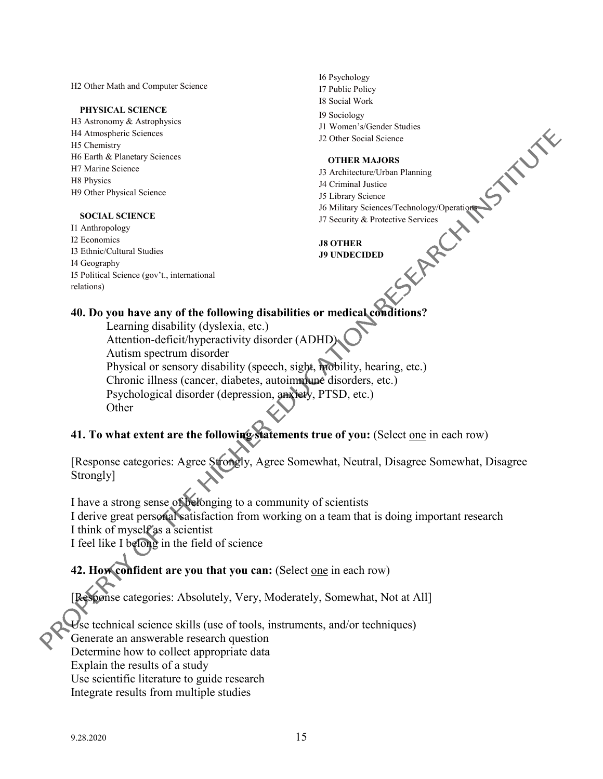H2 Other Math and Computer Science

#### **PHYSICAL SCIENCE**

H3 Astronomy & Astrophysics H4 Atmospheric Sciences H5 Chemistry H6 Earth & Planetary Sciences H7 Marine Science H8 Physics H9 Other Physical Science

#### **SOCIAL SCIENCE**

I1 Anthropology I2 Economics I3 Ethnic/Cultural Studies I4 Geography I5 Political Science (gov't., international relations)

- I6 Psychology I7 Public Policy I8 Social Work
- I9 Sociology
- J1 Women's/Gender Studies
- J2 Other Social Science

#### **OTHER MAJORS**

- J3 Architecture/Urban Planning
- J4 Criminal Justice
- J5 Library Science
- J6 Military Sciences/Technology/Operations
- J7 Security & Protective Services<br>J8 OTHER<br>J9 UNDECIDED

**J8 OTHER J9 UNDECIDED**

#### **40. Do you have any of the following disabilities or medical conditions?**

Learning disability (dyslexia, etc.)

Attention-deficit/hyperactivity disorder (ADHD)

Autism spectrum disorder

Physical or sensory disability (speech, sight, mobility, hearing, etc.)

Chronic illness (cancer, diabetes, autoimmune disorders, etc.)

Psychological disorder (depression, anxiety, PTSD, etc.)

**Other** 

**41. To what extent are the following statements true of you:** (Select one in each row)

[Response categories: Agree Strongly, Agree Somewhat, Neutral, Disagree Somewhat, Disagree Strongly]

I have a strong sense of belonging to a community of scientists I derive great personal satisfaction from working on a team that is doing important research I think of myself as a scientist

I feel like I belong in the field of science

# **42. How confident are you that you can:** (Select one in each row)

[Response categories: Absolutely, Very, Moderately, Somewhat, Not at All]

Use technical science skills (use of tools, instruments, and/or techniques)

Generate an answerable research question

Determine how to collect appropriate data

Explain the results of a study

Use scientific literature to guide research

Integrate results from multiple studies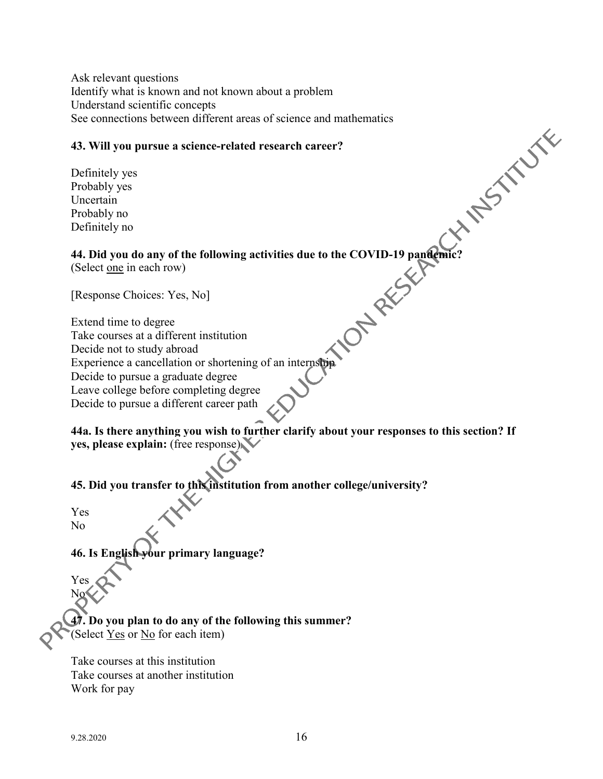Ask relevant questions Identify what is known and not known about a problem Understand scientific concepts See connections between different areas of science and mathematics

#### **43. Will you pursue a science-related research career?**

Definitely yes Probably yes Uncertain Probably no Definitely no

# **HIMESTER 44. Did you do any of the following activities due to the COVID-19 pandemic?**

(Select one in each row)

[Response Choices: Yes, No]

Extend time to degree Take courses at a different institution Decide not to study abroad Experience a cancellation or shortening of an internship Decide to pursue a graduate degree Leave college before completing degree Decide to pursue a different career path

**44a. Is there anything you wish to further clarify about your responses to this section? If yes, please explain:** (free response)

**45. Did you transfer to this institution from another college/university?**

Yes No

Yes No

**46. Is English your primary language?**

**47. Do you plan to do any of the following this summer?** (Select Yes or No for each item)

Take courses at this institution Take courses at another institution Work for pay